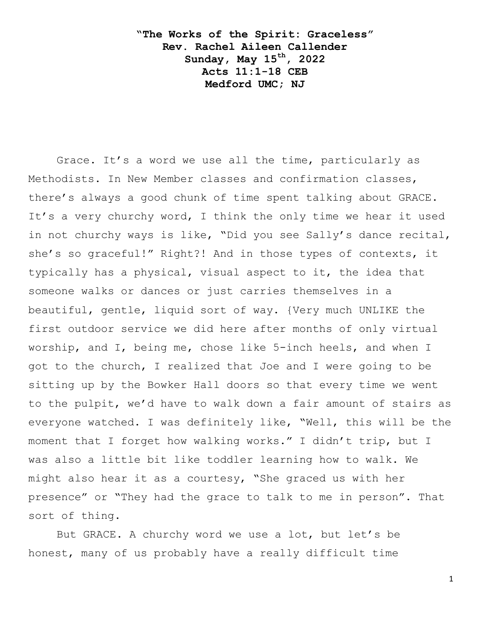**"The Works of the Spirit: Graceless" Rev. Rachel Aileen Callender Sunday, May 15th, 2022 Acts 11:1-18 CEB Medford UMC; NJ**

Grace. It's a word we use all the time, particularly as Methodists. In New Member classes and confirmation classes, there"s always a good chunk of time spent talking about GRACE. It's a very churchy word, I think the only time we hear it used in not churchy ways is like, "Did you see Sally"s dance recital, she's so graceful!" Right?! And in those types of contexts, it typically has a physical, visual aspect to it, the idea that someone walks or dances or just carries themselves in a beautiful, gentle, liquid sort of way. {Very much UNLIKE the first outdoor service we did here after months of only virtual worship, and I, being me, chose like 5-inch heels, and when I got to the church, I realized that Joe and I were going to be sitting up by the Bowker Hall doors so that every time we went to the pulpit, we"d have to walk down a fair amount of stairs as everyone watched. I was definitely like, "Well, this will be the moment that I forget how walking works." I didn"t trip, but I was also a little bit like toddler learning how to walk. We might also hear it as a courtesy, "She graced us with her presence" or "They had the grace to talk to me in person". That sort of thing.

But GRACE. A churchy word we use a lot, but let's be honest, many of us probably have a really difficult time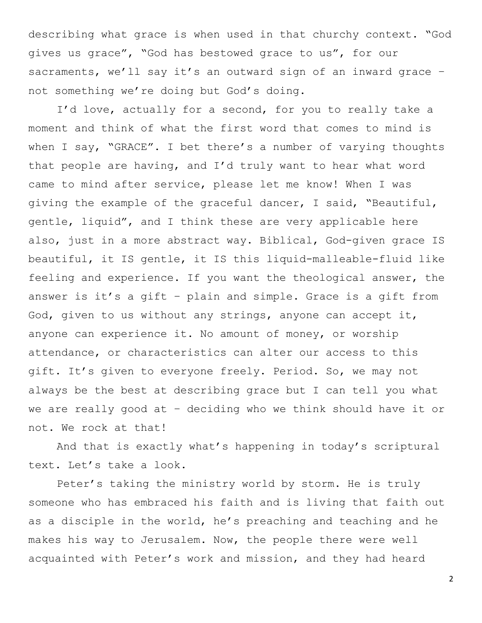describing what grace is when used in that churchy context. "God gives us grace", "God has bestowed grace to us", for our sacraments, we'll say it's an outward sign of an inward grace not something we're doing but God's doing.

I'd love, actually for a second, for you to really take a moment and think of what the first word that comes to mind is when I say, "GRACE". I bet there's a number of varying thoughts that people are having, and I"d truly want to hear what word came to mind after service, please let me know! When I was giving the example of the graceful dancer, I said, "Beautiful, gentle, liquid", and I think these are very applicable here also, just in a more abstract way. Biblical, God-given grace IS beautiful, it IS gentle, it IS this liquid-malleable-fluid like feeling and experience. If you want the theological answer, the answer is it's a gift - plain and simple. Grace is a gift from God, given to us without any strings, anyone can accept it, anyone can experience it. No amount of money, or worship attendance, or characteristics can alter our access to this gift. It's given to everyone freely. Period. So, we may not always be the best at describing grace but I can tell you what we are really good at – deciding who we think should have it or not. We rock at that!

And that is exactly what"s happening in today"s scriptural text. Let"s take a look.

Peter's taking the ministry world by storm. He is truly someone who has embraced his faith and is living that faith out as a disciple in the world, he"s preaching and teaching and he makes his way to Jerusalem. Now, the people there were well acquainted with Peter"s work and mission, and they had heard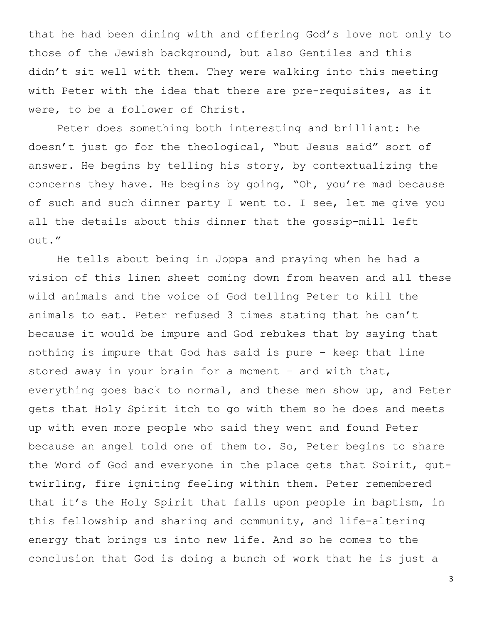that he had been dining with and offering God"s love not only to those of the Jewish background, but also Gentiles and this didn"t sit well with them. They were walking into this meeting with Peter with the idea that there are pre-requisites, as it were, to be a follower of Christ.

Peter does something both interesting and brilliant: he doesn"t just go for the theological, "but Jesus said" sort of answer. He begins by telling his story, by contextualizing the concerns they have. He begins by going, "Oh, you"re mad because of such and such dinner party I went to. I see, let me give you all the details about this dinner that the gossip-mill left out."

He tells about being in Joppa and praying when he had a vision of this linen sheet coming down from heaven and all these wild animals and the voice of God telling Peter to kill the animals to eat. Peter refused 3 times stating that he can"t because it would be impure and God rebukes that by saying that nothing is impure that God has said is pure – keep that line stored away in your brain for a moment - and with that, everything goes back to normal, and these men show up, and Peter gets that Holy Spirit itch to go with them so he does and meets up with even more people who said they went and found Peter because an angel told one of them to. So, Peter begins to share the Word of God and everyone in the place gets that Spirit, guttwirling, fire igniting feeling within them. Peter remembered that it's the Holy Spirit that falls upon people in baptism, in this fellowship and sharing and community, and life-altering energy that brings us into new life. And so he comes to the conclusion that God is doing a bunch of work that he is just a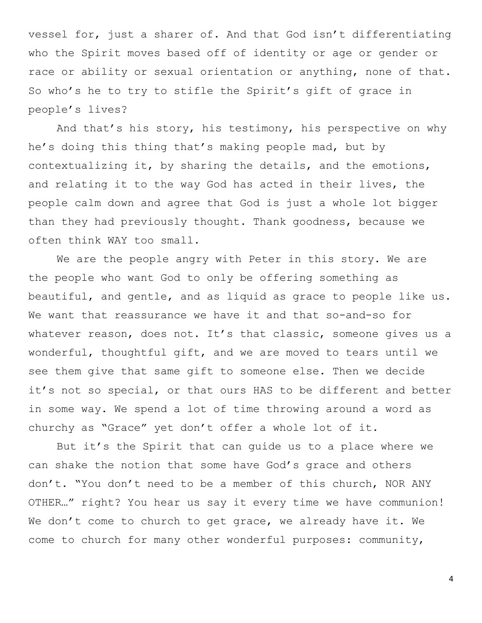vessel for, just a sharer of. And that God isn"t differentiating who the Spirit moves based off of identity or age or gender or race or ability or sexual orientation or anything, none of that. So who's he to try to stifle the Spirit's gift of grace in people"s lives?

And that"s his story, his testimony, his perspective on why he"s doing this thing that"s making people mad, but by contextualizing it, by sharing the details, and the emotions, and relating it to the way God has acted in their lives, the people calm down and agree that God is just a whole lot bigger than they had previously thought. Thank goodness, because we often think WAY too small.

We are the people angry with Peter in this story. We are the people who want God to only be offering something as beautiful, and gentle, and as liquid as grace to people like us. We want that reassurance we have it and that so-and-so for whatever reason, does not. It's that classic, someone gives us a wonderful, thoughtful gift, and we are moved to tears until we see them give that same gift to someone else. Then we decide it's not so special, or that ours HAS to be different and better in some way. We spend a lot of time throwing around a word as churchy as "Grace" yet don"t offer a whole lot of it.

But it's the Spirit that can quide us to a place where we can shake the notion that some have God"s grace and others don"t. "You don"t need to be a member of this church, NOR ANY OTHER…" right? You hear us say it every time we have communion! We don't come to church to get grace, we already have it. We come to church for many other wonderful purposes: community,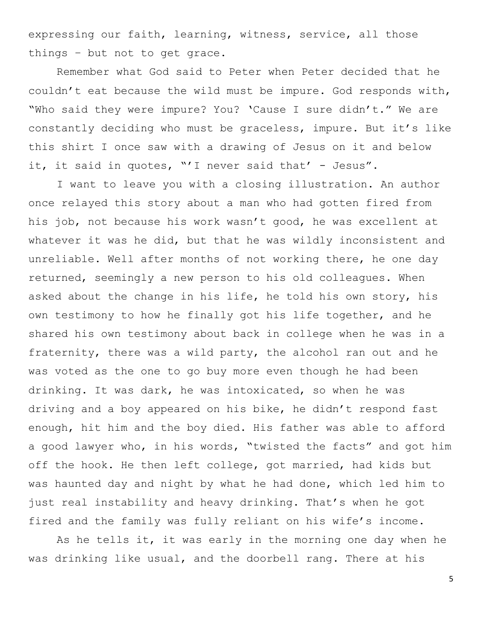expressing our faith, learning, witness, service, all those things – but not to get grace.

Remember what God said to Peter when Peter decided that he couldn"t eat because the wild must be impure. God responds with, "Who said they were impure? You? 'Cause I sure didn't." We are constantly deciding who must be graceless, impure. But it"s like this shirt I once saw with a drawing of Jesus on it and below it, it said in quotes, "'I never said that' - Jesus".

I want to leave you with a closing illustration. An author once relayed this story about a man who had gotten fired from his job, not because his work wasn't good, he was excellent at whatever it was he did, but that he was wildly inconsistent and unreliable. Well after months of not working there, he one day returned, seemingly a new person to his old colleagues. When asked about the change in his life, he told his own story, his own testimony to how he finally got his life together, and he shared his own testimony about back in college when he was in a fraternity, there was a wild party, the alcohol ran out and he was voted as the one to go buy more even though he had been drinking. It was dark, he was intoxicated, so when he was driving and a boy appeared on his bike, he didn"t respond fast enough, hit him and the boy died. His father was able to afford a good lawyer who, in his words, "twisted the facts" and got him off the hook. He then left college, got married, had kids but was haunted day and night by what he had done, which led him to just real instability and heavy drinking. That's when he got fired and the family was fully reliant on his wife's income.

As he tells it, it was early in the morning one day when he was drinking like usual, and the doorbell rang. There at his